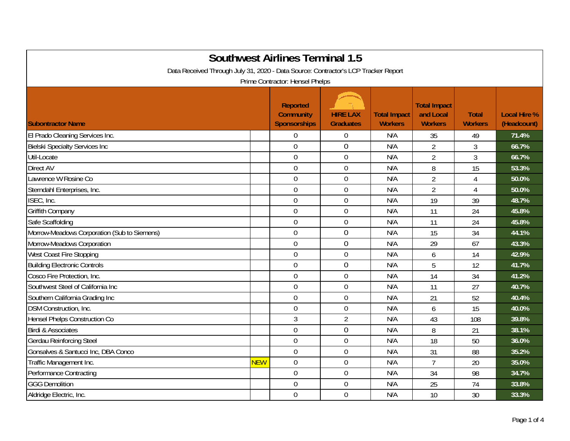| <b>Southwest Airlines Terminal 1.5</b><br>Data Received Through July 31, 2020 - Data Source: Contractor's LCP Tracker Report<br>Prime Contractor: Hensel Phelps |            |                                                            |                                     |                                       |                                                    |                                |                                    |  |
|-----------------------------------------------------------------------------------------------------------------------------------------------------------------|------------|------------------------------------------------------------|-------------------------------------|---------------------------------------|----------------------------------------------------|--------------------------------|------------------------------------|--|
| <b>Subontractor Name</b>                                                                                                                                        |            | <b>Reported</b><br><b>Community</b><br><b>Sponsorships</b> | <b>HIRE LAX</b><br><b>Graduates</b> | <b>Total Impact</b><br><b>Workers</b> | <b>Total Impact</b><br>and Local<br><b>Workers</b> | <b>Total</b><br><b>Workers</b> | <b>Local Hire %</b><br>(Headcount) |  |
| El Prado Cleaning Services Inc.                                                                                                                                 |            | $\overline{0}$                                             | $\boldsymbol{0}$                    | N/A                                   | 35                                                 | 49                             | 71.4%                              |  |
| <b>Bielski Specialty Services Inc</b>                                                                                                                           |            | $\overline{0}$                                             | $\overline{0}$                      | N/A                                   | $\overline{2}$                                     | $\mathfrak{Z}$                 | 66.7%                              |  |
| Util-Locate                                                                                                                                                     |            | $\mathbf 0$                                                | $\mathbf 0$                         | N/A                                   | $\overline{2}$                                     | 3                              | 66.7%                              |  |
| <b>Direct AV</b>                                                                                                                                                |            | $\overline{0}$                                             | $\mathbf 0$                         | N/A                                   | 8                                                  | 15                             | 53.3%                              |  |
| Lawrence W Rosine Co                                                                                                                                            |            | $\mathbf 0$                                                | $\boldsymbol{0}$                    | N/A                                   | $\overline{2}$                                     | $\overline{4}$                 | 50.0%                              |  |
| Sterndahl Enterprises, Inc.                                                                                                                                     |            | $\overline{0}$                                             | $\mathbf 0$                         | N/A                                   | $\overline{2}$                                     | 4                              | 50.0%                              |  |
| ISEC, Inc.                                                                                                                                                      |            | $\boldsymbol{0}$                                           | $\boldsymbol{0}$                    | N/A                                   | 19                                                 | 39                             | 48.7%                              |  |
| <b>Griffith Company</b>                                                                                                                                         |            | $\mathbf 0$                                                | $\boldsymbol{0}$                    | N/A                                   | 11                                                 | 24                             | 45.8%                              |  |
| Safe Scaffolding                                                                                                                                                |            | $\overline{0}$                                             | $\mathbf 0$                         | N/A                                   | 11                                                 | 24                             | 45.8%                              |  |
| Morrow-Meadows Corporation (Sub to Siemens)                                                                                                                     |            | $\overline{0}$                                             | 0                                   | N/A                                   | 15                                                 | 34                             | 44.1%                              |  |
| Morrow-Meadows Corporation                                                                                                                                      |            | $\overline{0}$                                             | $\overline{0}$                      | N/A                                   | 29                                                 | 67                             | 43.3%                              |  |
| West Coast Fire Stopping                                                                                                                                        |            | $\overline{0}$                                             | $\boldsymbol{0}$                    | N/A                                   | 6                                                  | 14                             | 42.9%                              |  |
| <b>Building Electronic Controls</b>                                                                                                                             |            | $\overline{0}$                                             | 0                                   | N/A                                   | 5                                                  | 12                             | 41.7%                              |  |
| Cosco Fire Protection, Inc.                                                                                                                                     |            | $\mathbf 0$                                                | $\boldsymbol{0}$                    | N/A                                   | 14                                                 | 34                             | 41.2%                              |  |
| Southwest Steel of California Inc                                                                                                                               |            | $\mathbf 0$                                                | $\boldsymbol{0}$                    | N/A                                   | 11                                                 | 27                             | 40.7%                              |  |
| Southern California Grading Inc                                                                                                                                 |            | $\overline{0}$                                             | $\mathbf 0$                         | N/A                                   | 21                                                 | 52                             | 40.4%                              |  |
| DSM Construction, Inc.                                                                                                                                          |            | $\overline{0}$                                             | $\boldsymbol{0}$                    | N/A                                   | 6                                                  | 15                             | 40.0%                              |  |
| <b>Hensel Phelps Construction Co</b>                                                                                                                            |            | 3                                                          | $\overline{2}$                      | N/A                                   | 43                                                 | 108                            | 39.8%                              |  |
| Birdi & Associates                                                                                                                                              |            | $\overline{0}$                                             | $\overline{0}$                      | N/A                                   | 8                                                  | 21                             | 38.1%                              |  |
| <b>Gerdau Reinforcing Steel</b>                                                                                                                                 |            | $\mathbf 0$                                                | $\boldsymbol{0}$                    | N/A                                   | 18                                                 | 50                             | 36.0%                              |  |
| Gonsalves & Santucci Inc, DBA Conco                                                                                                                             |            | $\mathbf 0$                                                | $\boldsymbol{0}$                    | N/A                                   | 31                                                 | 88                             | 35.2%                              |  |
| Traffic Management Inc.                                                                                                                                         | <b>NEW</b> | $\mathbf 0$                                                | $\boldsymbol{0}$                    | N/A                                   | $\overline{7}$                                     | 20                             | 35.0%                              |  |
| Performance Contracting                                                                                                                                         |            | $\overline{0}$                                             | $\mathbf 0$                         | N/A                                   | 34                                                 | 98                             | 34.7%                              |  |
| <b>GGG Demolition</b>                                                                                                                                           |            | $\overline{0}$                                             | $\boldsymbol{0}$                    | N/A                                   | 25                                                 | 74                             | 33.8%                              |  |
| Aldridge Electric, Inc.                                                                                                                                         |            | $\overline{0}$                                             | $\mathbf 0$                         | N/A                                   | 10                                                 | 30                             | 33.3%                              |  |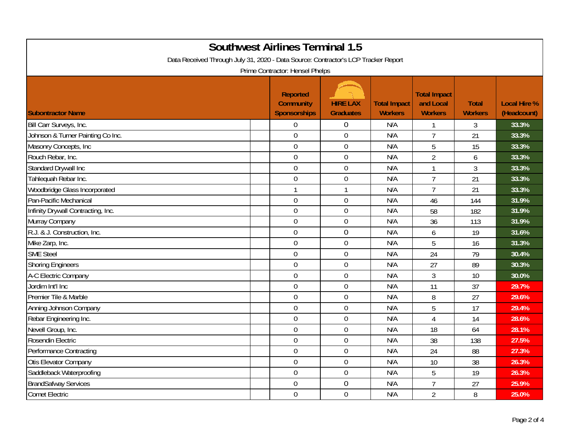| <b>Southwest Airlines Terminal 1.5</b><br>Data Received Through July 31, 2020 - Data Source: Contractor's LCP Tracker Report |                                                     |                                     |                                       |                                                    |                                |                                    |  |  |  |
|------------------------------------------------------------------------------------------------------------------------------|-----------------------------------------------------|-------------------------------------|---------------------------------------|----------------------------------------------------|--------------------------------|------------------------------------|--|--|--|
| Prime Contractor: Hensel Phelps                                                                                              |                                                     |                                     |                                       |                                                    |                                |                                    |  |  |  |
| <b>Subontractor Name</b>                                                                                                     | <b>Reported</b><br><b>Community</b><br>Sponsorships | <b>HIRE LAX</b><br><b>Graduates</b> | <b>Total Impact</b><br><b>Workers</b> | <b>Total Impact</b><br>and Local<br><b>Workers</b> | <b>Total</b><br><b>Workers</b> | <b>Local Hire %</b><br>(Headcount) |  |  |  |
| Bill Carr Surveys, Inc.                                                                                                      | $\mathbf 0$                                         | 0                                   | N/A                                   | 1                                                  | 3                              | 33.3%                              |  |  |  |
| Johnson & Turner Painting Co Inc.                                                                                            | $\mathbf 0$                                         | $\boldsymbol{0}$                    | N/A                                   | $\overline{7}$                                     | 21                             | 33.3%                              |  |  |  |
| Masonry Concepts, Inc                                                                                                        | $\mathbf 0$                                         | $\boldsymbol{0}$                    | N/A                                   | 5                                                  | 15                             | 33.3%                              |  |  |  |
| Rouch Rebar, Inc.                                                                                                            | $\overline{0}$                                      | $\overline{0}$                      | N/A                                   | $\overline{2}$                                     | 6                              | 33.3%                              |  |  |  |
| Standard Drywall Inc                                                                                                         | $\mathbf 0$                                         | $\mathbf 0$                         | N/A                                   | 1                                                  | 3                              | 33.3%                              |  |  |  |
| Tahlequah Rebar Inc.                                                                                                         | $\mathbf 0$                                         | $\boldsymbol{0}$                    | N/A                                   | $\overline{7}$                                     | 21                             | 33.3%                              |  |  |  |
| Woodbridge Glass Incorporated                                                                                                | 1                                                   | $\mathbf{1}$                        | N/A                                   | $\overline{7}$                                     | 21                             | 33.3%                              |  |  |  |
| Pan-Pacific Mechanical                                                                                                       | $\mathbf 0$                                         | $\mathbf 0$                         | N/A                                   | 46                                                 | 144                            | 31.9%                              |  |  |  |
| Infinity Drywall Contracting, Inc.                                                                                           | $\overline{0}$                                      | $\overline{0}$                      | N/A                                   | 58                                                 | 182                            | 31.9%                              |  |  |  |
| Murray Company                                                                                                               | $\mathbf 0$                                         | $\mathbf 0$                         | N/A                                   | 36                                                 | 113                            | 31.9%                              |  |  |  |
| R.J. & J. Construction, Inc.                                                                                                 | $\mathbf 0$                                         | $\boldsymbol{0}$                    | N/A                                   | 6                                                  | 19                             | 31.6%                              |  |  |  |
| Mike Zarp, Inc.                                                                                                              | $\mathbf 0$                                         | $\boldsymbol{0}$                    | N/A                                   | 5                                                  | 16                             | 31.3%                              |  |  |  |
| <b>SME Steel</b>                                                                                                             | $\mathbf 0$                                         | $\mathbf 0$                         | N/A                                   | 24                                                 | 79                             | 30.4%                              |  |  |  |
| <b>Shoring Engineers</b>                                                                                                     | $\mathbf 0$                                         | $\mathbf 0$                         | N/A                                   | 27                                                 | 89                             | 30.3%                              |  |  |  |
| A-C Electric Company                                                                                                         | $\mathbf 0$                                         | $\boldsymbol{0}$                    | N/A                                   | 3                                                  | 10                             | 30.0%                              |  |  |  |
| Jordim Int'l Inc                                                                                                             | $\mathbf 0$                                         | $\mathbf 0$                         | N/A                                   | 11                                                 | 37                             | 29.7%                              |  |  |  |
| Premier Tile & Marble                                                                                                        | $\mathbf 0$                                         | $\mathbf 0$                         | N/A                                   | 8                                                  | 27                             | 29.6%                              |  |  |  |
| Anning Johnson Company                                                                                                       | $\mathbf 0$                                         | $\boldsymbol{0}$                    | N/A                                   | 5                                                  | 17                             | 29.4%                              |  |  |  |
| Rebar Engineering Inc.                                                                                                       | $\overline{0}$                                      | $\overline{0}$                      | N/A                                   | 4                                                  | 14                             | 28.6%                              |  |  |  |
| Nevell Group, Inc.                                                                                                           | $\mathbf 0$                                         | $\boldsymbol{0}$                    | N/A                                   | 18                                                 | 64                             | 28.1%                              |  |  |  |
| Rosendin Electric                                                                                                            | $\mathbf 0$                                         | $\boldsymbol{0}$                    | N/A                                   | 38                                                 | 138                            | 27.5%                              |  |  |  |
| <b>Performance Contracting</b>                                                                                               | $\mathbf 0$                                         | $\mathbf 0$                         | N/A                                   | 24                                                 | 88                             | 27.3%                              |  |  |  |
| Otis Elevator Company                                                                                                        | $\mathbf 0$                                         | $\overline{0}$                      | N/A                                   | 10                                                 | 38                             | 26.3%                              |  |  |  |
| Saddleback Waterproofing                                                                                                     | $\overline{0}$                                      | $\boldsymbol{0}$                    | N/A                                   | 5                                                  | 19                             | 26.3%                              |  |  |  |
| <b>BrandSafway Services</b>                                                                                                  | $\mathbf 0$                                         | $\mathbf 0$                         | N/A                                   | $\overline{7}$                                     | 27                             | 25.9%                              |  |  |  |
| <b>Comet Electric</b>                                                                                                        | $\mathbf 0$                                         | $\mathbf 0$                         | N/A                                   | $\overline{2}$                                     | 8                              | 25.0%                              |  |  |  |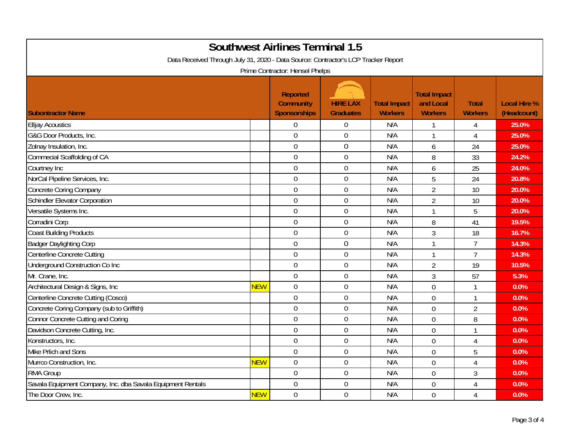| <b>Southwest Airlines Terminal 1.5</b><br>Data Received Through July 31, 2020 - Data Source: Contractor's LCP Tracker Report |            |                                                                                        |                                     |                                       |                                                    |                                |                                    |  |
|------------------------------------------------------------------------------------------------------------------------------|------------|----------------------------------------------------------------------------------------|-------------------------------------|---------------------------------------|----------------------------------------------------|--------------------------------|------------------------------------|--|
| <b>Subontractor Name</b>                                                                                                     |            | Prime Contractor: Hensel Phelps<br><b>Reported</b><br><b>Community</b><br>Sponsorships | <b>HIRE LAX</b><br><b>Graduates</b> | <b>Total Impact</b><br><b>Workers</b> | <b>Total Impact</b><br>and Local<br><b>Workers</b> | <b>Total</b><br><b>Workers</b> | <b>Local Hire %</b><br>(Headcount) |  |
| <b>Elljay Acoustics</b>                                                                                                      |            | $\mathbf 0$                                                                            | $\boldsymbol{0}$                    | N/A                                   | 1                                                  | 4                              | 25.0%                              |  |
| G&G Door Products, Inc.                                                                                                      |            | $\mathbf 0$                                                                            | $\boldsymbol{0}$                    | N/A                                   | $\mathbf{1}$                                       | $\overline{4}$                 | 25.0%                              |  |
| Zolnay Insulation, Inc.                                                                                                      |            | $\overline{0}$                                                                         | $\boldsymbol{0}$                    | N/A                                   | 6                                                  | 24                             | 25.0%                              |  |
| Commecial Scaffolding of CA                                                                                                  |            | $\overline{0}$                                                                         | $\mathbf 0$                         | N/A                                   | 8                                                  | 33                             | 24.2%                              |  |
| Courtney Inc                                                                                                                 |            | $\mathbf 0$                                                                            | $\mathbf 0$                         | N/A                                   | 6                                                  | 25                             | 24.0%                              |  |
| NorCal Pipeline Services, Inc.                                                                                               |            | $\mathbf 0$                                                                            | $\boldsymbol{0}$                    | N/A                                   | 5                                                  | 24                             | 20.8%                              |  |
| <b>Concrete Coring Company</b>                                                                                               |            | $\overline{0}$                                                                         | $\boldsymbol{0}$                    | N/A                                   | $\overline{2}$                                     | 10                             | 20.0%                              |  |
| <b>Schindler Elevator Corporation</b>                                                                                        |            | $\overline{0}$                                                                         | $\mathbf 0$                         | N/A                                   | $\overline{2}$                                     | 10                             | 20.0%                              |  |
| Versatile Systems Inc.                                                                                                       |            | $\overline{0}$                                                                         | $\mathbf 0$                         | N/A                                   | $\overline{1}$                                     | 5                              | 20.0%                              |  |
| Corradini Corp                                                                                                               |            | $\mathbf 0$                                                                            | $\boldsymbol{0}$                    | N/A                                   | 8                                                  | 41                             | 19.5%                              |  |
| <b>Coast Building Products</b>                                                                                               |            | $\boldsymbol{0}$                                                                       | $\boldsymbol{0}$                    | N/A                                   | 3                                                  | 18                             | 16.7%                              |  |
| <b>Badger Daylighting Corp</b>                                                                                               |            | $\mathbf 0$                                                                            | $\mathbf 0$                         | N/A                                   | $\mathbf 1$                                        | $\overline{7}$                 | 14.3%                              |  |
| Centerline Concrete Cutting                                                                                                  |            | $\mathbf 0$                                                                            | $\mathbf 0$                         | N/A                                   | $\overline{1}$                                     | $\overline{7}$                 | 14.3%                              |  |
| Underground Construction Co Inc                                                                                              |            | $\mathbf 0$                                                                            | $\mathbf 0$                         | N/A                                   | $\overline{2}$                                     | 19                             | 10.5%                              |  |
| Mr. Crane, Inc.                                                                                                              |            | $\mathbf 0$                                                                            | $\boldsymbol{0}$                    | N/A                                   | 3                                                  | 57                             | 5.3%                               |  |
| Architectural Design & Signs, Inc                                                                                            | <b>NEW</b> | $\mathbf 0$                                                                            | $\mathbf 0$                         | N/A                                   | $\mathbf 0$                                        | $\mathbf{1}$                   | 0.0%                               |  |
| Centerline Concrete Cutting (Cosco)                                                                                          |            | $\overline{0}$                                                                         | $\mathbf 0$                         | N/A                                   | $\overline{0}$                                     | 1                              | 0.0%                               |  |
| Concrete Coring Company (sub to Griffith)                                                                                    |            | $\mathbf 0$                                                                            | $\mathbf 0$                         | N/A                                   | $\overline{0}$                                     | $\overline{2}$                 | 0.0%                               |  |
| <b>Connor Concrete Cutting and Coring</b>                                                                                    |            | $\mathbf 0$                                                                            | $\mathbf 0$                         | N/A                                   | $\overline{0}$                                     | 8                              | 0.0%                               |  |
| Davidson Concrete Cutting, Inc.                                                                                              |            | $\overline{0}$                                                                         | $\mathbf 0$                         | N/A                                   | $\mathbf 0$                                        | 1                              | 0.0%                               |  |
| Konstructors, Inc.                                                                                                           |            | $\mathbf 0$                                                                            | $\boldsymbol{0}$                    | N/A                                   | $\mathbf 0$                                        | 4                              | 0.0%                               |  |
| Mike Prlich and Sons                                                                                                         |            | $\mathbf 0$                                                                            | $\boldsymbol{0}$                    | N/A                                   | $\mathbf 0$                                        | 5                              | 0.0%                               |  |
| Murrco Construction, Inc.                                                                                                    | <b>NEW</b> | $\mathbf 0$                                                                            | $\boldsymbol{0}$                    | N/A                                   | $\overline{0}$                                     | $\overline{4}$                 | 0.0%                               |  |
| <b>RMA Group</b>                                                                                                             |            | $\overline{0}$                                                                         | $\overline{0}$                      | N/A                                   | $\overline{0}$                                     | 3                              | 0.0%                               |  |
| Savala Equipment Company, Inc. dba Savala Equipment Rentals                                                                  |            | $\mathbf 0$                                                                            | $\boldsymbol{0}$                    | N/A                                   | $\overline{0}$                                     | 4                              | 0.0%                               |  |
| The Door Crew, Inc.                                                                                                          | <b>NEW</b> | $\mathbf 0$                                                                            | $\mathbf 0$                         | N/A                                   | $\overline{0}$                                     | 4                              | 0.0%                               |  |